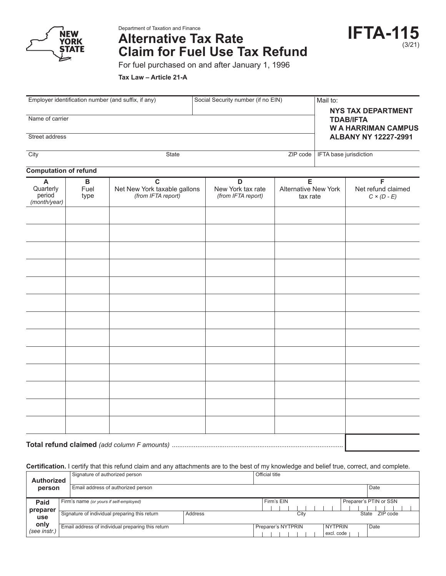

Department of Taxation and Finance

# **Alternative Tax Rate Claim for Fuel Use Tax Refund**



For fuel purchased on and after January 1, 1996

**Tax Law – Article 21-A**

| Employer identification number (and suffix, if any)              |                              |                                                                   | Social Security number (if no EIN) |                                                        |                                       | Mail to:<br><b>NYS TAX DEPARTMENT</b>         |                                                         |  |
|------------------------------------------------------------------|------------------------------|-------------------------------------------------------------------|------------------------------------|--------------------------------------------------------|---------------------------------------|-----------------------------------------------|---------------------------------------------------------|--|
| Name of carrier                                                  |                              |                                                                   |                                    |                                                        |                                       | <b>TDAB/IFTA</b><br><b>WA HARRIMAN CAMPUS</b> |                                                         |  |
| Street address                                                   |                              |                                                                   |                                    |                                                        |                                       |                                               | <b>ALBANY NY 12227-2991</b><br>IFTA base jurisdiction   |  |
| City<br>ZIP code<br>State                                        |                              |                                                                   |                                    |                                                        |                                       |                                               |                                                         |  |
| <b>Computation of refund</b>                                     |                              |                                                                   |                                    |                                                        |                                       |                                               |                                                         |  |
| $\boldsymbol{\mathsf{A}}$<br>Quarterly<br>period<br>(month/year) | $\, {\bf B}$<br>Fuel<br>type | $\mathbf C$<br>Net New York taxable gallons<br>(from IFTA report) |                                    | $\mathsf D$<br>New York tax rate<br>(from IFTA report) | E<br>Alternative New York<br>tax rate |                                               | $\mathsf F$<br>Net refund claimed<br>$C \times (D - E)$ |  |
|                                                                  |                              |                                                                   |                                    |                                                        |                                       |                                               |                                                         |  |
|                                                                  |                              |                                                                   |                                    |                                                        |                                       |                                               |                                                         |  |
|                                                                  |                              |                                                                   |                                    |                                                        |                                       |                                               |                                                         |  |
|                                                                  |                              |                                                                   |                                    |                                                        |                                       |                                               |                                                         |  |
|                                                                  |                              |                                                                   |                                    |                                                        |                                       |                                               |                                                         |  |
|                                                                  |                              |                                                                   |                                    |                                                        |                                       |                                               |                                                         |  |
|                                                                  |                              |                                                                   |                                    |                                                        |                                       |                                               |                                                         |  |
|                                                                  |                              |                                                                   |                                    |                                                        |                                       |                                               |                                                         |  |
|                                                                  |                              |                                                                   |                                    |                                                        |                                       |                                               |                                                         |  |
|                                                                  |                              |                                                                   |                                    |                                                        |                                       |                                               |                                                         |  |
|                                                                  |                              |                                                                   |                                    |                                                        |                                       |                                               |                                                         |  |
|                                                                  |                              |                                                                   |                                    |                                                        |                                       |                                               |                                                         |  |
|                                                                  |                              |                                                                   |                                    |                                                        |                                       |                                               |                                                         |  |

**Certification.** I certify that this refund claim and any attachments are to the best of my knowledge and belief true, correct, and complete.

| Authorized           | Signature of authorized person                    |         | Official title     |                                      |
|----------------------|---------------------------------------------------|---------|--------------------|--------------------------------------|
| person               | Email address of authorized person                |         |                    | Date                                 |
| Paid                 | Firm's name (or yours if self-employed)           |         | Firm's EIN         | Preparer's PTIN or SSN               |
| preparer             |                                                   |         |                    |                                      |
| use                  | Signature of individual preparing this return     | Address | City               | ZIP code<br>State                    |
| only<br>(see instr.) | Email address of individual preparing this return |         | Preparer's NYTPRIN | <b>NYTPRIN</b><br>Date<br>excl. code |